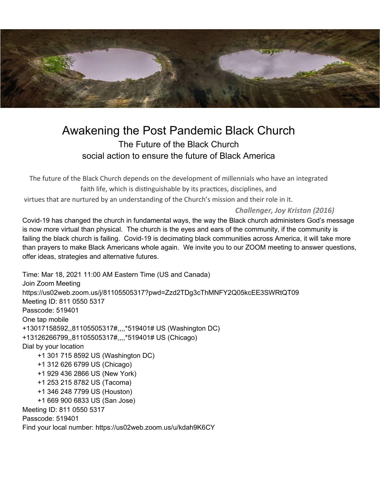

## Awakening the Post Pandemic Black Church The Future of the Black Church social action to ensure the future of Black America

The future of the Black Church depends on the development of millennials who have an integrated faith life, which is distinguishable by its practices, disciplines, and virtues that are nurtured by an understanding of the Church's mission and their role in it.

*Challenger, Joy Kristan (2016)*

Covid-19 has changed the church in fundamental ways, the way the Black church administers God's message is now more virtual than physical. The church is the eyes and ears of the community, if the community is failing the black church is failing. Covid-19 is decimating black communities across America, it will take more than prayers to make Black Americans whole again. We invite you to our ZOOM meeting to answer questions, offer ideas, strategies and alternative futures.

Time: Mar 18, 2021 11:00 AM Eastern Time (US and Canada) Join Zoom Meeting https://us02web.zoom.us/j/81105505317?pwd=Zzd2TDg3cThMNFY2Q05kcEE3SWRtQT09 Meeting ID: 811 0550 5317 Passcode: 519401 One tap mobile +13017158592,,81105505317#,,,,\*519401# US (Washington DC) +13126266799,,81105505317#,,,,\*519401# US (Chicago) Dial by your location +1 301 715 8592 US (Washington DC) +1 312 626 6799 US (Chicago) +1 929 436 2866 US (New York) +1 253 215 8782 US (Tacoma) +1 346 248 7799 US (Houston) +1 669 900 6833 US (San Jose) Meeting ID: 811 0550 5317 Passcode: 519401 Find your local number: https://us02web.zoom.us/u/kdah9K6CY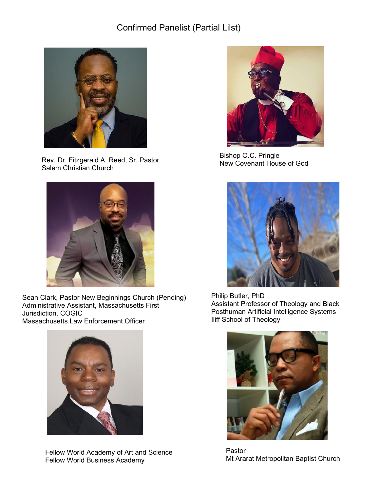

Rev. Dr. Fitzgerald A. Reed, Sr. Pastor **Rev. Branch Bishop O.O. Fingle**<br>
New Covenant House of God Salem Christian Church



Sean Clark, Pastor New Beginnings Church (Pending) Administrative Assistant, Massachusetts First Jurisdiction, COGIC Massachusetts Law Enforcement Officer



Fellow World Academy of Art and Science Fellow World Business Academy



Bishop O.C. Pringle



Philip Butler, PhD Assistant Professor of Theology and Black Posthuman Artificial Intelligence Systems Iliff School of Theology



Pastor Mt Ararat Metropolitan Baptist Church